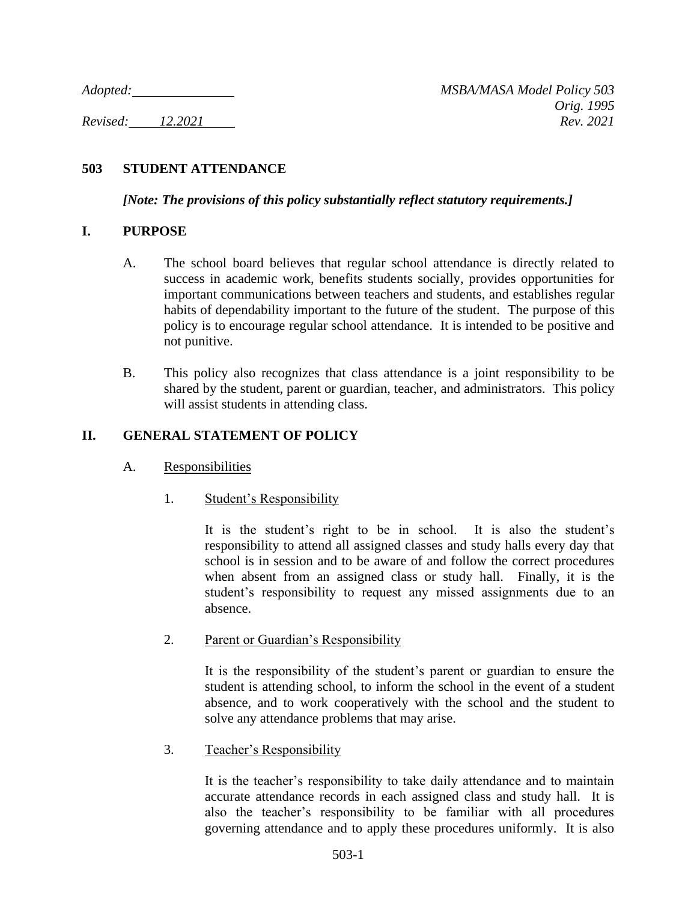## **503 STUDENT ATTENDANCE**

*[Note: The provisions of this policy substantially reflect statutory requirements.]*

### **I. PURPOSE**

- A. The school board believes that regular school attendance is directly related to success in academic work, benefits students socially, provides opportunities for important communications between teachers and students, and establishes regular habits of dependability important to the future of the student. The purpose of this policy is to encourage regular school attendance. It is intended to be positive and not punitive.
- B. This policy also recognizes that class attendance is a joint responsibility to be shared by the student, parent or guardian, teacher, and administrators. This policy will assist students in attending class.

### **II. GENERAL STATEMENT OF POLICY**

- A. Responsibilities
	- 1. Student's Responsibility

It is the student's right to be in school. It is also the student's responsibility to attend all assigned classes and study halls every day that school is in session and to be aware of and follow the correct procedures when absent from an assigned class or study hall. Finally, it is the student's responsibility to request any missed assignments due to an absence.

2. Parent or Guardian's Responsibility

It is the responsibility of the student's parent or guardian to ensure the student is attending school, to inform the school in the event of a student absence, and to work cooperatively with the school and the student to solve any attendance problems that may arise.

3. Teacher's Responsibility

It is the teacher's responsibility to take daily attendance and to maintain accurate attendance records in each assigned class and study hall. It is also the teacher's responsibility to be familiar with all procedures governing attendance and to apply these procedures uniformly. It is also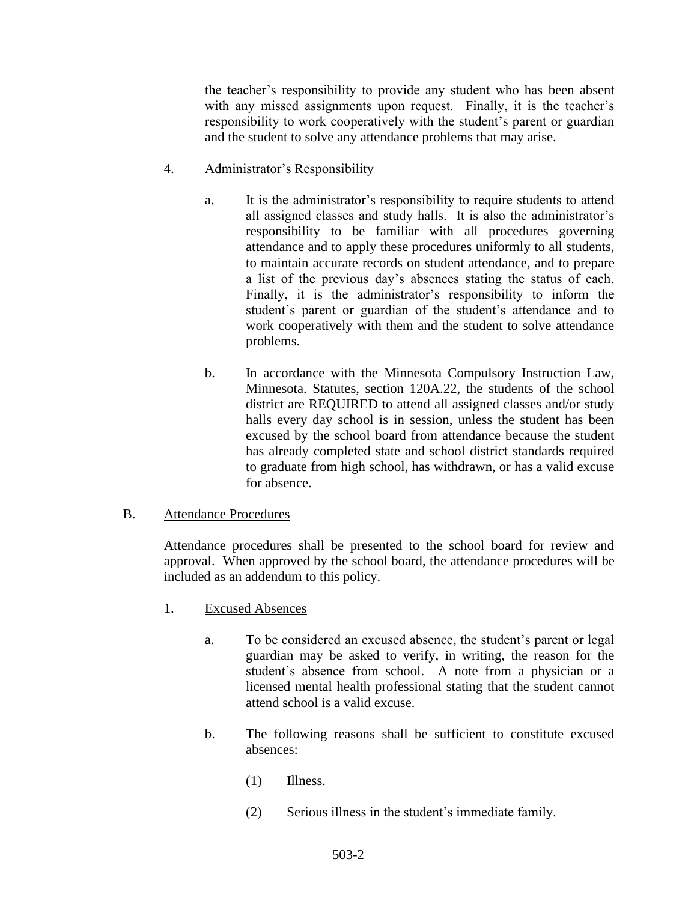the teacher's responsibility to provide any student who has been absent with any missed assignments upon request. Finally, it is the teacher's responsibility to work cooperatively with the student's parent or guardian and the student to solve any attendance problems that may arise.

- 4. Administrator's Responsibility
	- a. It is the administrator's responsibility to require students to attend all assigned classes and study halls. It is also the administrator's responsibility to be familiar with all procedures governing attendance and to apply these procedures uniformly to all students, to maintain accurate records on student attendance, and to prepare a list of the previous day's absences stating the status of each. Finally, it is the administrator's responsibility to inform the student's parent or guardian of the student's attendance and to work cooperatively with them and the student to solve attendance problems.
	- b. In accordance with the Minnesota Compulsory Instruction Law, Minnesota. Statutes, section 120A.22, the students of the school district are REQUIRED to attend all assigned classes and/or study halls every day school is in session, unless the student has been excused by the school board from attendance because the student has already completed state and school district standards required to graduate from high school, has withdrawn, or has a valid excuse for absence.
- B. Attendance Procedures

Attendance procedures shall be presented to the school board for review and approval. When approved by the school board, the attendance procedures will be included as an addendum to this policy.

- 1. Excused Absences
	- a. To be considered an excused absence, the student's parent or legal guardian may be asked to verify, in writing, the reason for the student's absence from school. A note from a physician or a licensed mental health professional stating that the student cannot attend school is a valid excuse.
	- b. The following reasons shall be sufficient to constitute excused absences:
		- (1) Illness.
		- (2) Serious illness in the student's immediate family.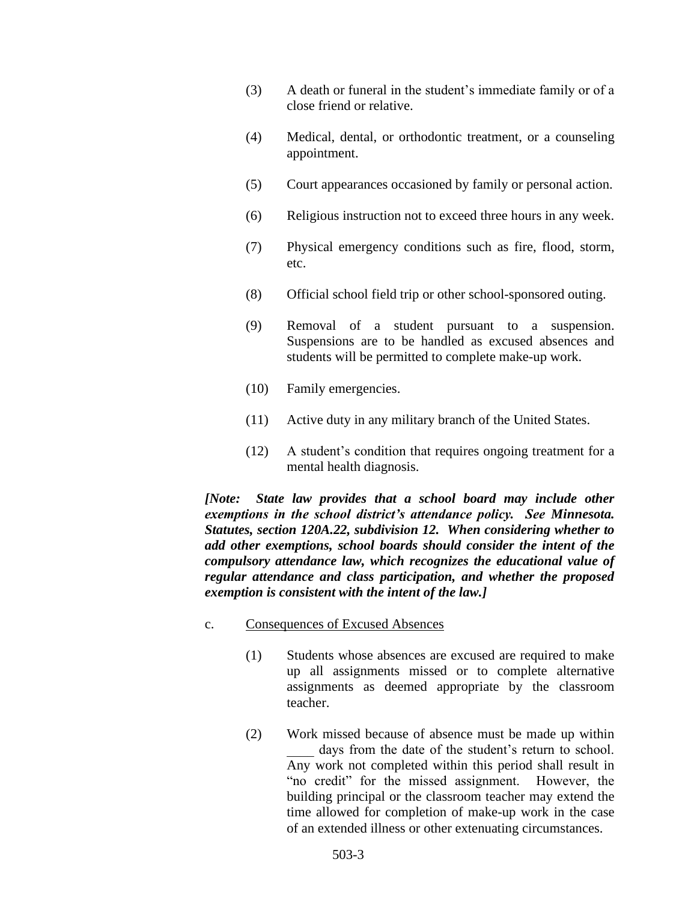- (3) A death or funeral in the student's immediate family or of a close friend or relative.
- (4) Medical, dental, or orthodontic treatment, or a counseling appointment.
- (5) Court appearances occasioned by family or personal action.
- (6) Religious instruction not to exceed three hours in any week.
- (7) Physical emergency conditions such as fire, flood, storm, etc.
- (8) Official school field trip or other school-sponsored outing.
- (9) Removal of a student pursuant to a suspension. Suspensions are to be handled as excused absences and students will be permitted to complete make-up work.
- (10) Family emergencies.
- (11) Active duty in any military branch of the United States.
- (12) A student's condition that requires ongoing treatment for a mental health diagnosis.

*[Note: State law provides that a school board may include other exemptions in the school district's attendance policy. See Minnesota. Statutes, section 120A.22, subdivision 12. When considering whether to add other exemptions, school boards should consider the intent of the compulsory attendance law, which recognizes the educational value of regular attendance and class participation, and whether the proposed exemption is consistent with the intent of the law.]*

- c. Consequences of Excused Absences
	- (1) Students whose absences are excused are required to make up all assignments missed or to complete alternative assignments as deemed appropriate by the classroom teacher.
	- (2) Work missed because of absence must be made up within days from the date of the student's return to school. Any work not completed within this period shall result in "no credit" for the missed assignment. However, the building principal or the classroom teacher may extend the time allowed for completion of make-up work in the case of an extended illness or other extenuating circumstances.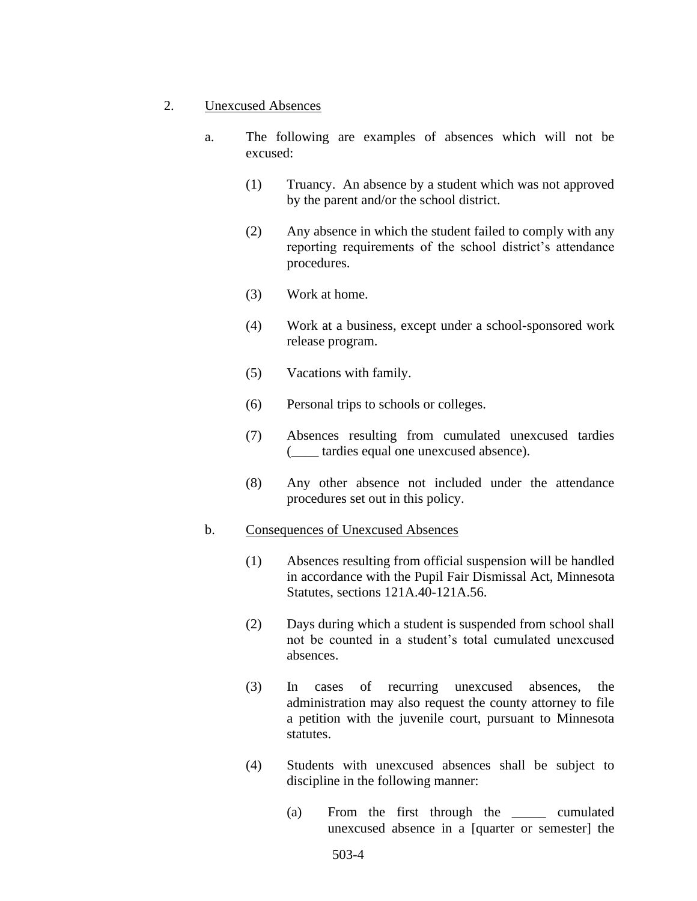- 2. Unexcused Absences
	- a. The following are examples of absences which will not be excused:
		- (1) Truancy. An absence by a student which was not approved by the parent and/or the school district.
		- (2) Any absence in which the student failed to comply with any reporting requirements of the school district's attendance procedures.
		- (3) Work at home.
		- (4) Work at a business, except under a school-sponsored work release program.
		- (5) Vacations with family.
		- (6) Personal trips to schools or colleges.
		- (7) Absences resulting from cumulated unexcused tardies (\_\_\_\_ tardies equal one unexcused absence).
		- (8) Any other absence not included under the attendance procedures set out in this policy.

#### b. Consequences of Unexcused Absences

- (1) Absences resulting from official suspension will be handled in accordance with the Pupil Fair Dismissal Act, Minnesota Statutes, sections 121A.40-121A.56.
- (2) Days during which a student is suspended from school shall not be counted in a student's total cumulated unexcused absences.
- (3) In cases of recurring unexcused absences, the administration may also request the county attorney to file a petition with the juvenile court, pursuant to Minnesota statutes.
- (4) Students with unexcused absences shall be subject to discipline in the following manner:
	- (a) From the first through the \_\_\_\_\_ cumulated unexcused absence in a [quarter or semester] the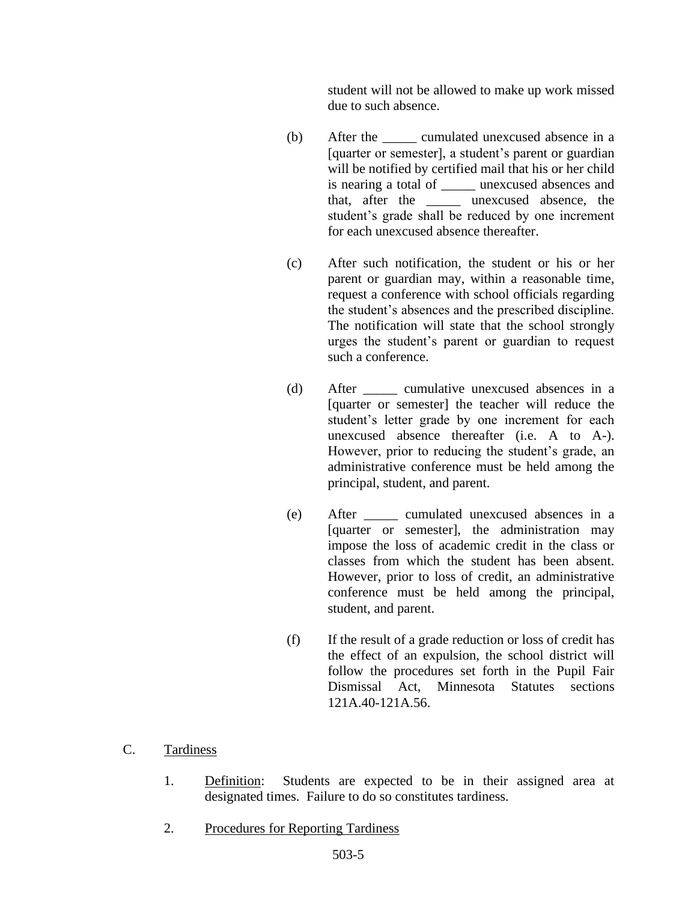student will not be allowed to make up work missed due to such absence.

- (b) After the cumulated unexcused absence in a [quarter or semester], a student's parent or guardian will be notified by certified mail that his or her child is nearing a total of \_\_\_\_\_ unexcused absences and that, after the \_\_\_\_\_ unexcused absence, the student's grade shall be reduced by one increment for each unexcused absence thereafter.
- (c) After such notification, the student or his or her parent or guardian may, within a reasonable time, request a conference with school officials regarding the student's absences and the prescribed discipline. The notification will state that the school strongly urges the student's parent or guardian to request such a conference.
- (d) After \_\_\_\_\_ cumulative unexcused absences in a [quarter or semester] the teacher will reduce the student's letter grade by one increment for each unexcused absence thereafter (i.e. A to A-). However, prior to reducing the student's grade, an administrative conference must be held among the principal, student, and parent.
- (e) After \_\_\_\_\_ cumulated unexcused absences in a [quarter or semester], the administration may impose the loss of academic credit in the class or classes from which the student has been absent. However, prior to loss of credit, an administrative conference must be held among the principal, student, and parent.
- (f) If the result of a grade reduction or loss of credit has the effect of an expulsion, the school district will follow the procedures set forth in the Pupil Fair Dismissal Act, Minnesota Statutes sections 121A.40-121A.56.

#### C. Tardiness

- 1. Definition: Students are expected to be in their assigned area at designated times. Failure to do so constitutes tardiness.
- 2. Procedures for Reporting Tardiness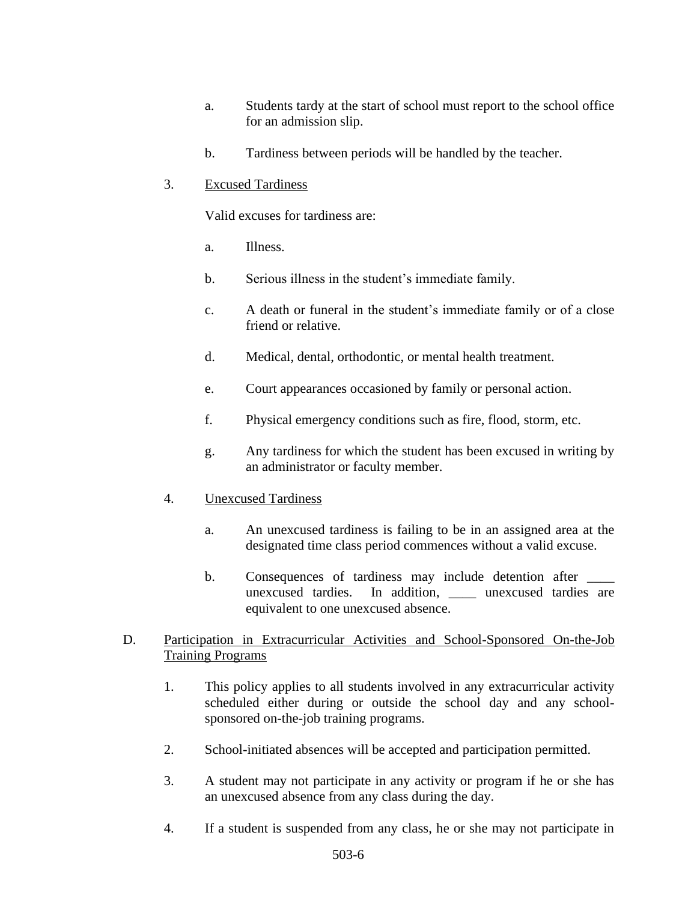- a. Students tardy at the start of school must report to the school office for an admission slip.
- b. Tardiness between periods will be handled by the teacher.

### 3. Excused Tardiness

Valid excuses for tardiness are:

- a. Illness.
- b. Serious illness in the student's immediate family.
- c. A death or funeral in the student's immediate family or of a close friend or relative.
- d. Medical, dental, orthodontic, or mental health treatment.
- e. Court appearances occasioned by family or personal action.
- f. Physical emergency conditions such as fire, flood, storm, etc.
- g. Any tardiness for which the student has been excused in writing by an administrator or faculty member.

#### 4. Unexcused Tardiness

- a. An unexcused tardiness is failing to be in an assigned area at the designated time class period commences without a valid excuse.
- b. Consequences of tardiness may include detention after unexcused tardies. In addition, unexcused tardies are equivalent to one unexcused absence.

### D. Participation in Extracurricular Activities and School-Sponsored On-the-Job Training Programs

- 1. This policy applies to all students involved in any extracurricular activity scheduled either during or outside the school day and any schoolsponsored on-the-job training programs.
- 2. School-initiated absences will be accepted and participation permitted.
- 3. A student may not participate in any activity or program if he or she has an unexcused absence from any class during the day.
- 4. If a student is suspended from any class, he or she may not participate in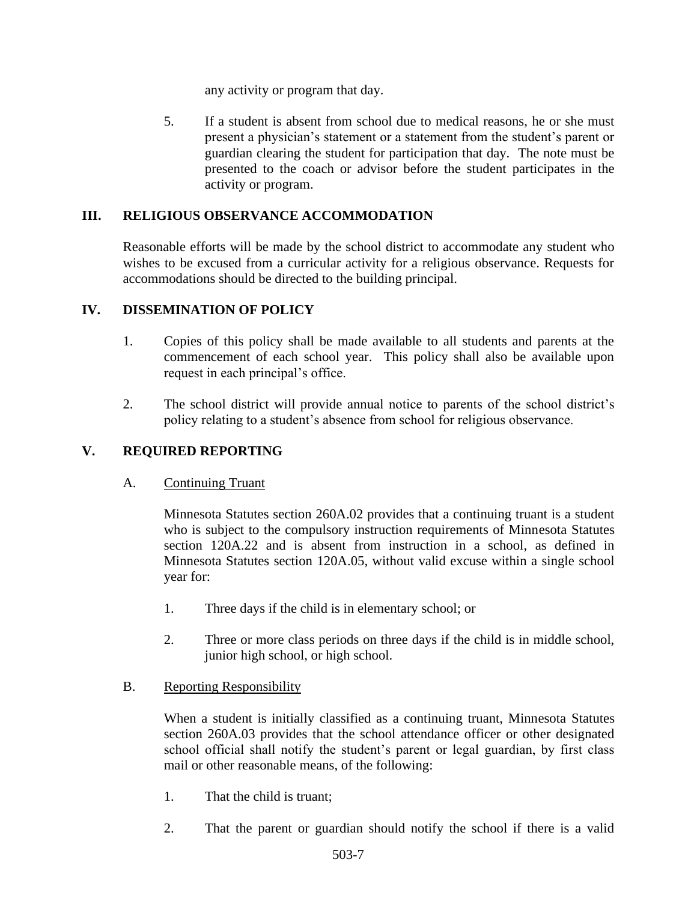any activity or program that day.

5. If a student is absent from school due to medical reasons, he or she must present a physician's statement or a statement from the student's parent or guardian clearing the student for participation that day. The note must be presented to the coach or advisor before the student participates in the activity or program.

## **III. RELIGIOUS OBSERVANCE ACCOMMODATION**

Reasonable efforts will be made by the school district to accommodate any student who wishes to be excused from a curricular activity for a religious observance. Requests for accommodations should be directed to the building principal.

## **IV. DISSEMINATION OF POLICY**

- 1. Copies of this policy shall be made available to all students and parents at the commencement of each school year. This policy shall also be available upon request in each principal's office.
- 2. The school district will provide annual notice to parents of the school district's policy relating to a student's absence from school for religious observance.

# **V. REQUIRED REPORTING**

A. Continuing Truant

Minnesota Statutes section 260A.02 provides that a continuing truant is a student who is subject to the compulsory instruction requirements of Minnesota Statutes section 120A.22 and is absent from instruction in a school, as defined in Minnesota Statutes section 120A.05, without valid excuse within a single school year for:

- 1. Three days if the child is in elementary school; or
- 2. Three or more class periods on three days if the child is in middle school, junior high school, or high school.

### B. Reporting Responsibility

When a student is initially classified as a continuing truant, Minnesota Statutes section 260A.03 provides that the school attendance officer or other designated school official shall notify the student's parent or legal guardian, by first class mail or other reasonable means, of the following:

- 1. That the child is truant;
- 2. That the parent or guardian should notify the school if there is a valid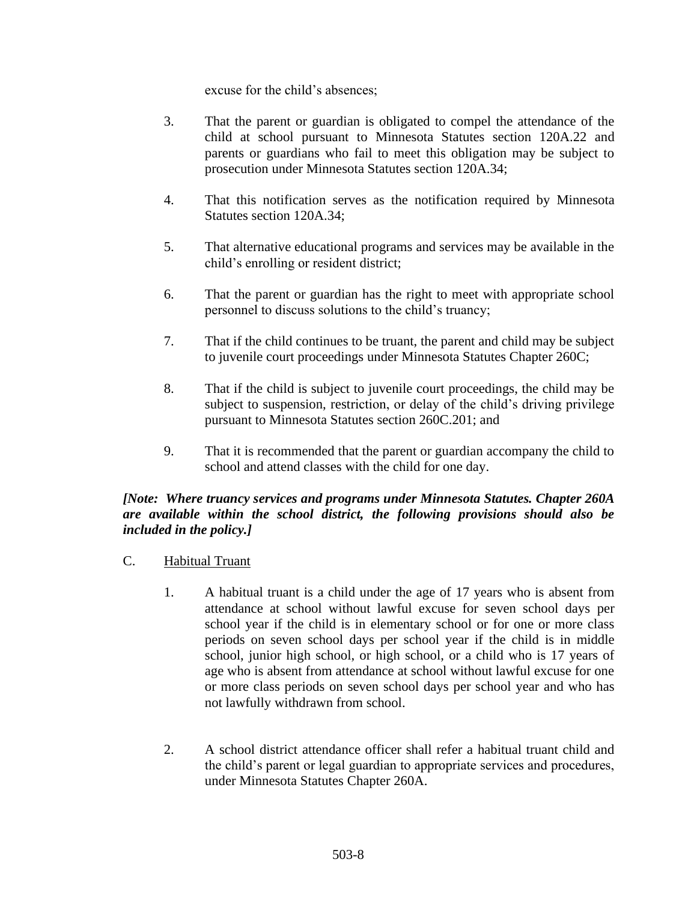excuse for the child's absences;

- 3. That the parent or guardian is obligated to compel the attendance of the child at school pursuant to Minnesota Statutes section 120A.22 and parents or guardians who fail to meet this obligation may be subject to prosecution under Minnesota Statutes section 120A.34;
- 4. That this notification serves as the notification required by Minnesota Statutes section 120A.34;
- 5. That alternative educational programs and services may be available in the child's enrolling or resident district;
- 6. That the parent or guardian has the right to meet with appropriate school personnel to discuss solutions to the child's truancy;
- 7. That if the child continues to be truant, the parent and child may be subject to juvenile court proceedings under Minnesota Statutes Chapter 260C;
- 8. That if the child is subject to juvenile court proceedings, the child may be subject to suspension, restriction, or delay of the child's driving privilege pursuant to Minnesota Statutes section 260C.201; and
- 9. That it is recommended that the parent or guardian accompany the child to school and attend classes with the child for one day.

### *[Note: Where truancy services and programs under Minnesota Statutes. Chapter 260A are available within the school district, the following provisions should also be included in the policy.]*

- C. Habitual Truant
	- 1. A habitual truant is a child under the age of 17 years who is absent from attendance at school without lawful excuse for seven school days per school year if the child is in elementary school or for one or more class periods on seven school days per school year if the child is in middle school, junior high school, or high school, or a child who is 17 years of age who is absent from attendance at school without lawful excuse for one or more class periods on seven school days per school year and who has not lawfully withdrawn from school.
	- 2. A school district attendance officer shall refer a habitual truant child and the child's parent or legal guardian to appropriate services and procedures, under Minnesota Statutes Chapter 260A.